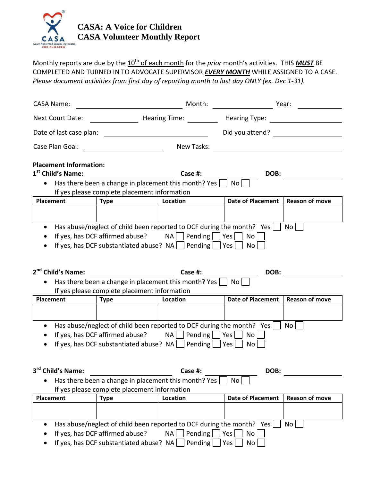

Monthly reports are due by the  $10^{\text{th}}$  of each month for the *prior* month's activities. THIS **MUST** BE COMPLETED AND TURNED IN TO ADVOCATE SUPERVISOR *EVERY MONTH* WHILE ASSIGNED TO A CASE. *Please document activities from first day of reporting month to last day ONLY (ex. Dec 1-31).*

| <b>CASA Name:</b>                                                                                                                                                                                                                                                                  |                                                                            | Month:                                                                                            |                          | Year:                 |  |
|------------------------------------------------------------------------------------------------------------------------------------------------------------------------------------------------------------------------------------------------------------------------------------|----------------------------------------------------------------------------|---------------------------------------------------------------------------------------------------|--------------------------|-----------------------|--|
| <b>Next Court Date:</b>                                                                                                                                                                                                                                                            |                                                                            | Hearing Time:                                                                                     | <b>Hearing Type:</b>     |                       |  |
| Date of last case plan:                                                                                                                                                                                                                                                            |                                                                            |                                                                                                   | Did you attend?          |                       |  |
| Case Plan Goal:                                                                                                                                                                                                                                                                    |                                                                            | New Tasks:                                                                                        |                          |                       |  |
| <b>Placement Information:</b><br>1 <sup>st</sup> Child's Name:                                                                                                                                                                                                                     | If yes please complete placement information                               | Case #:<br>Has there been a change in placement this month? Yes                                   | DOB:<br>No <sub>1</sub>  |                       |  |
| Placement                                                                                                                                                                                                                                                                          | <b>Type</b>                                                                | Location                                                                                          | <b>Date of Placement</b> | <b>Reason of move</b> |  |
|                                                                                                                                                                                                                                                                                    |                                                                            |                                                                                                   |                          |                       |  |
| Has abuse/neglect of child been reported to DCF during the month? Yes<br><b>No</b><br>If yes, has DCF affirmed abuse?<br>$NA$   Pending     Yes    <br>No<br>If yes, has DCF substantiated abuse? $NA$   Pending   Yes  <br>No<br>2 <sup>nd</sup> Child's Name:<br>DOB:<br>Case #: |                                                                            |                                                                                                   |                          |                       |  |
| Has there been a change in placement this month? Yes<br>No.                                                                                                                                                                                                                        |                                                                            |                                                                                                   |                          |                       |  |
|                                                                                                                                                                                                                                                                                    | If yes please complete placement information                               |                                                                                                   |                          |                       |  |
| <b>Placement</b>                                                                                                                                                                                                                                                                   | <b>Type</b>                                                                | Location                                                                                          | <b>Date of Placement</b> | <b>Reason of move</b> |  |
|                                                                                                                                                                                                                                                                                    |                                                                            |                                                                                                   |                          |                       |  |
| Has abuse/neglect of child been reported to DCF during the month? Yes<br>No.<br>If yes, has DCF affirmed abuse?<br>NA  <br>Pending<br>No<br>$Yes$  <br>If yes, has DCF substantiated abuse? $NA$   Pending     Yes  <br><b>No</b>                                                  |                                                                            |                                                                                                   |                          |                       |  |
| 3 <sup>rd</sup> Child's Name:                                                                                                                                                                                                                                                      |                                                                            | Case #:                                                                                           | DOB:                     |                       |  |
| Has there been a change in placement this month? Yes<br>No  <br>If yes please complete placement information                                                                                                                                                                       |                                                                            |                                                                                                   |                          |                       |  |
| <b>Placement</b>                                                                                                                                                                                                                                                                   | <b>Type</b>                                                                | Location                                                                                          | <b>Date of Placement</b> | <b>Reason of move</b> |  |
|                                                                                                                                                                                                                                                                                    |                                                                            |                                                                                                   |                          |                       |  |
|                                                                                                                                                                                                                                                                                    | If yes, has DCF affirmed abuse?<br>If yes, has DCF substantiated abuse? NA | Has abuse/neglect of child been reported to DCF during the month? Yes<br>Pending<br>NA<br>Pending | Yes<br>No<br>Yes<br>No   | No                    |  |